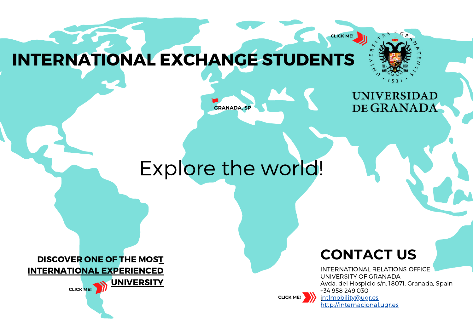**CLICK ME!**

# INTERNATIONAL EXCHANGE STUDEN[TS](https://www.ugr.es/)

# **GRANADA, SP**

**UNIVERSIDAD** DE GRANADA

# Explore the world!

**CONTACT US**

[INTERNATIONAL](http://internacional.ugr.es/pages/movilidad/estudiantes/entrantes) RELATIONS OFFICE [UNIVERSITY](http://internacional.ugr.es/pages/movilidad/estudiantes/entrantes) OF GRANADA Avda. del Hospicio s/n, 18071, Granada, Spain +34 958 249 [030](http://internacional.ugr.es/pages/movilidad/estudiantes/entrantes) [intlmobility@ugr.es](http://internacional.ugr.es/pages/movilidad/estudiantes/entrantes)

[http://internacional.ugr.es](http://internacional.ugr.es/pages/movilidad/estudiantes/entrantes)

**CLICK ME!**

[DISCOVER](https://www.youtube.com/user/UGRmedios) ONE OF THE MOST [INTERNATIONAL](https://www.youtube.com/user/UGRmedios) EXPERIENCED

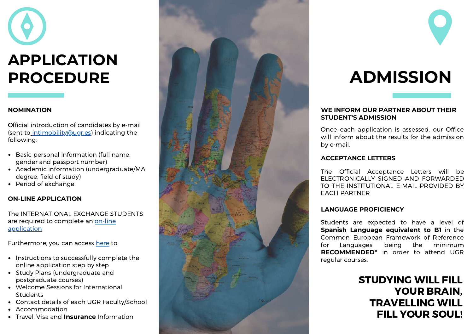# **APPLICATION**<br> **PROCEDURE**<br>
MOMINATION<br>
Sent to <u>intlmobility@ugr.es</u>) indicatin<br>
(sent to <u>intlmobility@ugr.es</u>) indicatin<br>
relieving:<br>
• Basic personal information (full nai<br>
gender and passport number)<br>
• Academic infor

### **NOMIN[AT](https://oficinavirtual.ugr.es/apli/intercambio/alumnos_in/index.html)ION**

Official introduction of candidates by e-mail (sent to [intlmobility@ugr.es\)](https://oficinavirtual.ugr.es/apli/intercambio/alumnos_in/index.html) indicating the following:

- Basic personal information (full name, gender and passport [number\)](https://oficinavirtual.ugr.es/apli/intercambio/alumnos_in/index.html)
- Academic information [\(undergraduate](https://oficinavirtual.ugr.es/apli/intercambio/alumnos_in/index.html) / M A degree, field of study)
- Pe[rio](https://oficinavirtual.ugr.es/apli/intercambio/alumnos_in/index.html)d of exchange

### **ON-LINE [APPLICATION](https://oficinavirtual.ugr.es/apli/intercambio/alumnos_in/index.html)**

The [INTERNATIONAL](https://oficinavirtual.ugr.es/apli/intercambio/alumnos_in/index.html) EXCHANGE STUDENTS are required to complete an on-line [application](https://oficinavirtual.ugr.es/apli/intercambio/alumnos_in/index.html)

- Instructions to successfully complete the online application step by step
- Study Plans (undergraduate and postgraduate courses)
- .<br>Welcome Sessions for International **Students**
- Contact details of each UGR Faculty/School
- Accommodation
- Travel, Visa and **Insurance** Information





### WE INFORM OUR PARTNER ABOUT THEIR **STUDENT'S ADMISSION**

Once each application is assessed, our Office will inform about the results for the admission by e-ma FORM OUR PARTNER ABOUT THEIR<br>
INT'S ADMISSION<br>
Pach application is assessed, our Off<br>
Draw about the results for the admission

### **ACCEPTANCE LETTERS**

The Official Acceptance Letters will be ELECTRONICALLY SIGNED AND FORWARDED TO THE INSTITUTIONAL E-MAIL PROVIDED BY EACH PARTNER

### **O F I C I E N C Y**

Students are expected to have a level of Spanish Language equivalent to B1 in the Common European Framework of Reference fo r Language: s, being the minimum RECOMMENDED<sup>\*</sup> in order to attend UGR regular course: **LANGUAGE PR**<br>Students are {<br>**Spanish Langu**<br>Common Euro<sub>f</sub><br>for Language<br>**RECOMMENDE**<br>regular courses.

> STUDYING WILL FILL YOUR BRAIN, TRAVELLING WILL FILL YOUR SOUL!